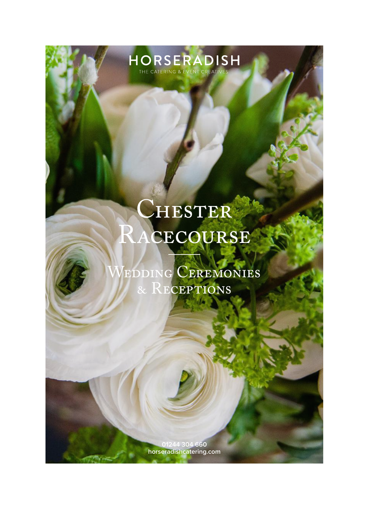### $\mathcal C$ HESTER Racecourse

HORSERADISH

EDDING CEREMONIES & RECEPTIONS

> **01244 304 660 horseradishcatering.com**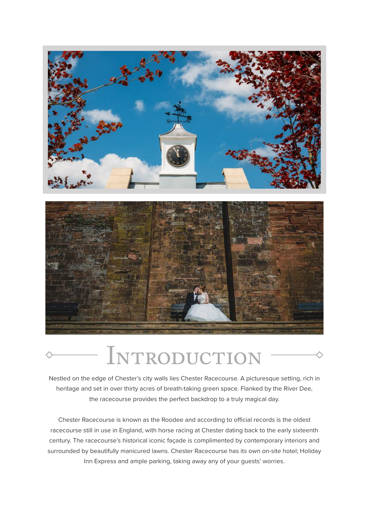

# **INTRODUCTION**

Nestled on the edge of Chester's city walls lies Chester Racecourse. A picturesque setting, rich in heritage and set in over thirty acres of breath-taking green space. Flanked by the River Dee, the racecourse provides the perfect backdrop to a truly magical day.

Chester Racecourse is known as the Roodee and according to official records is the oldest racecourse still in use in England, with horse racing at Chester dating back to the early sixteenth century. The racecourse's historical iconic façade is complimented by contemporary interiors and surrounded by beautifully manicured lawns. Chester Racecourse has its own on-site hotel; Holiday Inn Express and ample parking, taking away any of your guests' worries.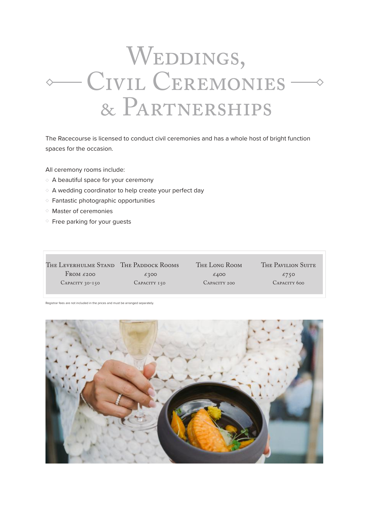# WEDDINGS, CIVIL CEREMONIES-& Partnerships

The Racecourse is licensed to conduct civil ceremonies and has a whole host of bright function spaces for the occasion.

All ceremony rooms include:

- A beautiful space for your ceremony
- $\Diamond$  A wedding coordinator to help create your perfect day
- $\Diamond$  Fantastic photographic opportunities
- Master of ceremonies
- $\Diamond$  Free parking for your quests

| THE LEVERHULME STAND THE PADDOCK ROOMS |              | THE LONG ROOM | THE PAVILION SUITE |
|----------------------------------------|--------------|---------------|--------------------|
| FROM $\epsilon$ 200                    | £300         | £400          | £750               |
| CAPACITY 30-150                        | CAPACITY 150 | CAPACITY 200  | CAPACITY 600       |

Registrar fees are not included in the prices and must be arranged separately.